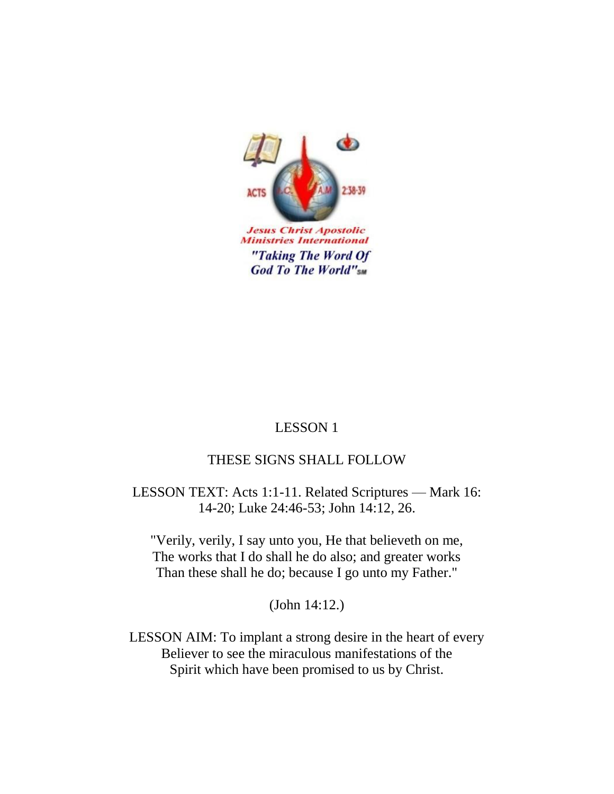

**Ministries International** "Taking The Word Of **God To The World"sm** 

# LESSON 1

# THESE SIGNS SHALL FOLLOW

LESSON TEXT: Acts 1:1-11. Related Scriptures — Mark 16: 14-20; Luke 24:46-53; John 14:12, 26.

"Verily, verily, I say unto you, He that believeth on me, The works that I do shall he do also; and greater works Than these shall he do; because I go unto my Father."

(John 14:12.)

LESSON AIM: To implant a strong desire in the heart of every Believer to see the miraculous manifestations of the Spirit which have been promised to us by Christ.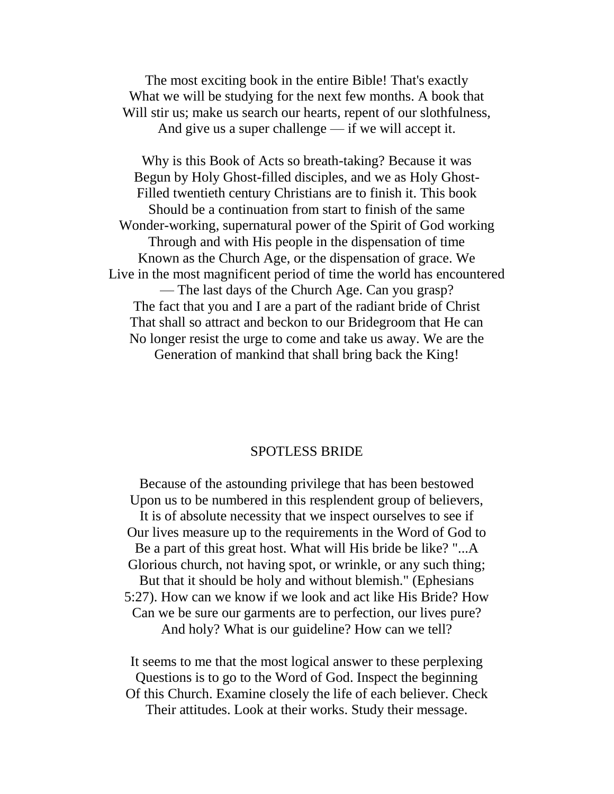The most exciting book in the entire Bible! That's exactly What we will be studying for the next few months. A book that Will stir us; make us search our hearts, repent of our slothfulness, And give us a super challenge — if we will accept it.

Why is this Book of Acts so breath-taking? Because it was Begun by Holy Ghost-filled disciples, and we as Holy Ghost-Filled twentieth century Christians are to finish it. This book Should be a continuation from start to finish of the same Wonder-working, supernatural power of the Spirit of God working Through and with His people in the dispensation of time Known as the Church Age, or the dispensation of grace. We Live in the most magnificent period of time the world has encountered — The last days of the Church Age. Can you grasp? The fact that you and I are a part of the radiant bride of Christ That shall so attract and beckon to our Bridegroom that He can No longer resist the urge to come and take us away. We are the Generation of mankind that shall bring back the King!

## SPOTLESS BRIDE

Because of the astounding privilege that has been bestowed Upon us to be numbered in this resplendent group of believers, It is of absolute necessity that we inspect ourselves to see if Our lives measure up to the requirements in the Word of God to Be a part of this great host. What will His bride be like? "...A Glorious church, not having spot, or wrinkle, or any such thing; But that it should be holy and without blemish." (Ephesians 5:27). How can we know if we look and act like His Bride? How Can we be sure our garments are to perfection, our lives pure? And holy? What is our guideline? How can we tell?

It seems to me that the most logical answer to these perplexing Questions is to go to the Word of God. Inspect the beginning Of this Church. Examine closely the life of each believer. Check Their attitudes. Look at their works. Study their message.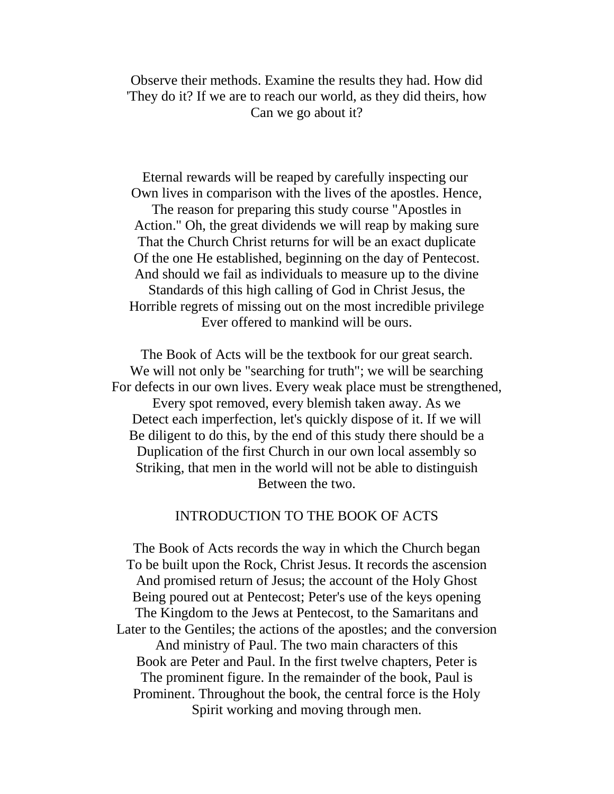Observe their methods. Examine the results they had. How did 'They do it? If we are to reach our world, as they did theirs, how Can we go about it?

 Eternal rewards will be reaped by carefully inspecting our Own lives in comparison with the lives of the apostles. Hence, The reason for preparing this study course "Apostles in Action." Oh, the great dividends we will reap by making sure That the Church Christ returns for will be an exact duplicate Of the one He established, beginning on the day of Pentecost. And should we fail as individuals to measure up to the divine Standards of this high calling of God in Christ Jesus, the Horrible regrets of missing out on the most incredible privilege Ever offered to mankind will be ours.

The Book of Acts will be the textbook for our great search. We will not only be "searching for truth"; we will be searching For defects in our own lives. Every weak place must be strengthened, Every spot removed, every blemish taken away. As we Detect each imperfection, let's quickly dispose of it. If we will Be diligent to do this, by the end of this study there should be a Duplication of the first Church in our own local assembly so Striking, that men in the world will not be able to distinguish Between the two.

#### INTRODUCTION TO THE BOOK OF ACTS

The Book of Acts records the way in which the Church began To be built upon the Rock, Christ Jesus. It records the ascension And promised return of Jesus; the account of the Holy Ghost Being poured out at Pentecost; Peter's use of the keys opening The Kingdom to the Jews at Pentecost, to the Samaritans and Later to the Gentiles; the actions of the apostles; and the conversion And ministry of Paul. The two main characters of this Book are Peter and Paul. In the first twelve chapters, Peter is The prominent figure. In the remainder of the book, Paul is Prominent. Throughout the book, the central force is the Holy Spirit working and moving through men.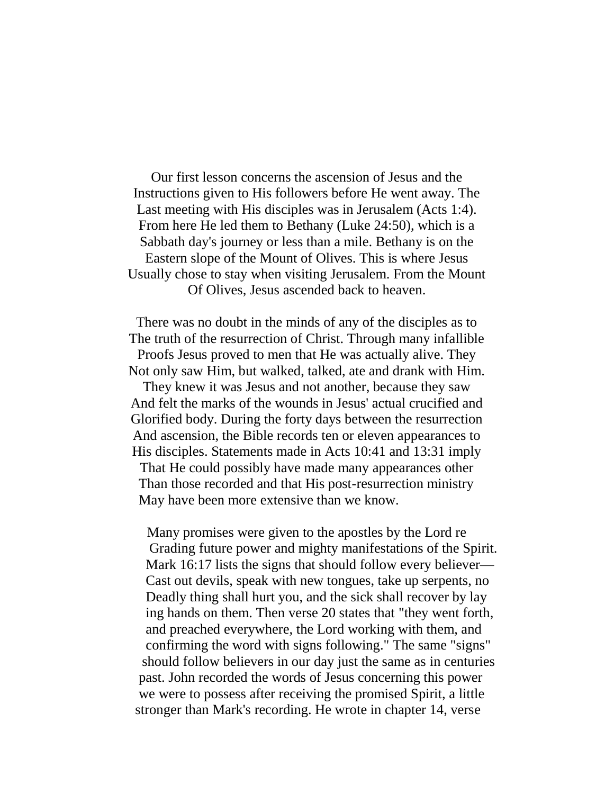Our first lesson concerns the ascension of Jesus and the Instructions given to His followers before He went away. The Last meeting with His disciples was in Jerusalem (Acts 1:4). From here He led them to Bethany (Luke 24:50), which is a Sabbath day's journey or less than a mile. Bethany is on the Eastern slope of the Mount of Olives. This is where Jesus Usually chose to stay when visiting Jerusalem. From the Mount Of Olives, Jesus ascended back to heaven.

There was no doubt in the minds of any of the disciples as to The truth of the resurrection of Christ. Through many infallible Proofs Jesus proved to men that He was actually alive. They Not only saw Him, but walked, talked, ate and drank with Him.

They knew it was Jesus and not another, because they saw And felt the marks of the wounds in Jesus' actual crucified and Glorified body. During the forty days between the resurrection And ascension, the Bible records ten or eleven appearances to His disciples. Statements made in Acts 10:41 and 13:31 imply That He could possibly have made many appearances other Than those recorded and that His post-resurrection ministry May have been more extensive than we know.

Many promises were given to the apostles by the Lord re Grading future power and mighty manifestations of the Spirit. Mark 16:17 lists the signs that should follow every believer— Cast out devils, speak with new tongues, take up serpents, no Deadly thing shall hurt you, and the sick shall recover by lay ing hands on them. Then verse 20 states that "they went forth, and preached everywhere, the Lord working with them, and confirming the word with signs following." The same "signs" should follow believers in our day just the same as in centuries past. John recorded the words of Jesus concerning this power we were to possess after receiving the promised Spirit, a little stronger than Mark's recording. He wrote in chapter 14, verse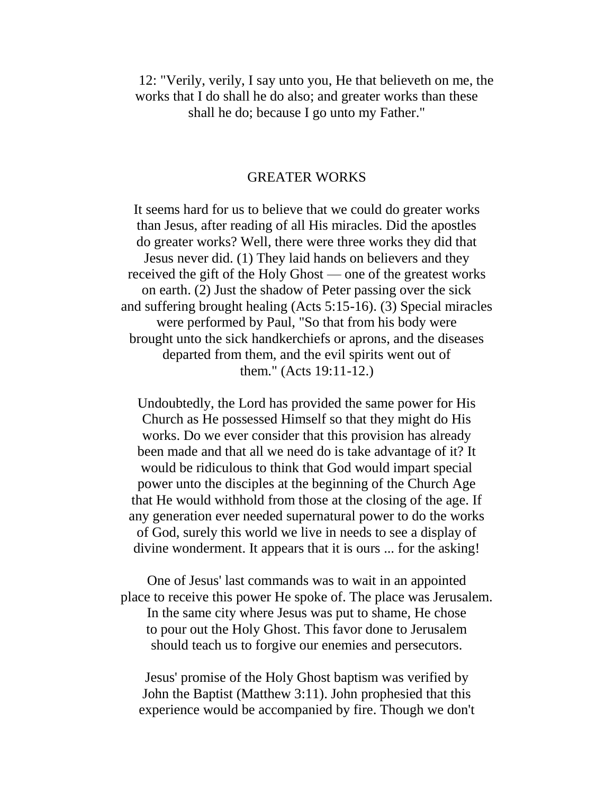12: "Verily, verily, I say unto you, He that believeth on me, the works that I do shall he do also; and greater works than these shall he do; because I go unto my Father."

## GREATER WORKS

It seems hard for us to believe that we could do greater works than Jesus, after reading of all His miracles. Did the apostles do greater works? Well, there were three works they did that Jesus never did. (1) They laid hands on believers and they received the gift of the Holy Ghost — one of the greatest works on earth. (2) Just the shadow of Peter passing over the sick and suffering brought healing (Acts 5:15-16). (3) Special miracles were performed by Paul, "So that from his body were brought unto the sick handkerchiefs or aprons, and the diseases departed from them, and the evil spirits went out of them." (Acts 19:11-12.)

Undoubtedly, the Lord has provided the same power for His Church as He possessed Himself so that they might do His works. Do we ever consider that this provision has already been made and that all we need do is take advantage of it? It would be ridiculous to think that God would impart special power unto the disciples at the beginning of the Church Age that He would withhold from those at the closing of the age. If any generation ever needed supernatural power to do the works of God, surely this world we live in needs to see a display of divine wonderment. It appears that it is ours ... for the asking!

One of Jesus' last commands was to wait in an appointed place to receive this power He spoke of. The place was Jerusalem. In the same city where Jesus was put to shame, He chose to pour out the Holy Ghost. This favor done to Jerusalem should teach us to forgive our enemies and persecutors.

Jesus' promise of the Holy Ghost baptism was verified by John the Baptist (Matthew 3:11). John prophesied that this experience would be accompanied by fire. Though we don't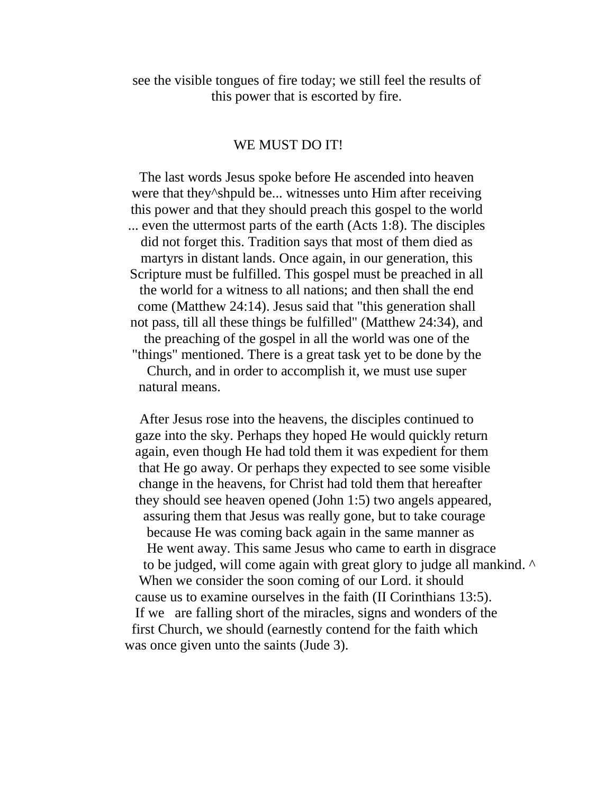see the visible tongues of fire today; we still feel the results of this power that is escorted by fire.

### WE MUST DO IT!

The last words Jesus spoke before He ascended into heaven were that they^shpuld be... witnesses unto Him after receiving this power and that they should preach this gospel to the world ... even the uttermost parts of the earth (Acts 1:8). The disciples did not forget this. Tradition says that most of them died as martyrs in distant lands. Once again, in our generation, this Scripture must be fulfilled. This gospel must be preached in all the world for a witness to all nations; and then shall the end come (Matthew 24:14). Jesus said that "this generation shall not pass, till all these things be fulfilled" (Matthew 24:34), and the preaching of the gospel in all the world was one of the "things" mentioned. There is a great task yet to be done by the Church, and in order to accomplish it, we must use super natural means.

After Jesus rose into the heavens, the disciples continued to gaze into the sky. Perhaps they hoped He would quickly return again, even though He had told them it was expedient for them that He go away. Or perhaps they expected to see some visible change in the heavens, for Christ had told them that hereafter they should see heaven opened (John 1:5) two angels appeared, assuring them that Jesus was really gone, but to take courage because He was coming back again in the same manner as He went away. This same Jesus who came to earth in disgrace to be judged, will come again with great glory to judge all mankind. ^ When we consider the soon coming of our Lord. it should cause us to examine ourselves in the faith (II Corinthians 13:5). If we are falling short of the miracles, signs and wonders of the first Church, we should (earnestly contend for the faith which was once given unto the saints (Jude 3).